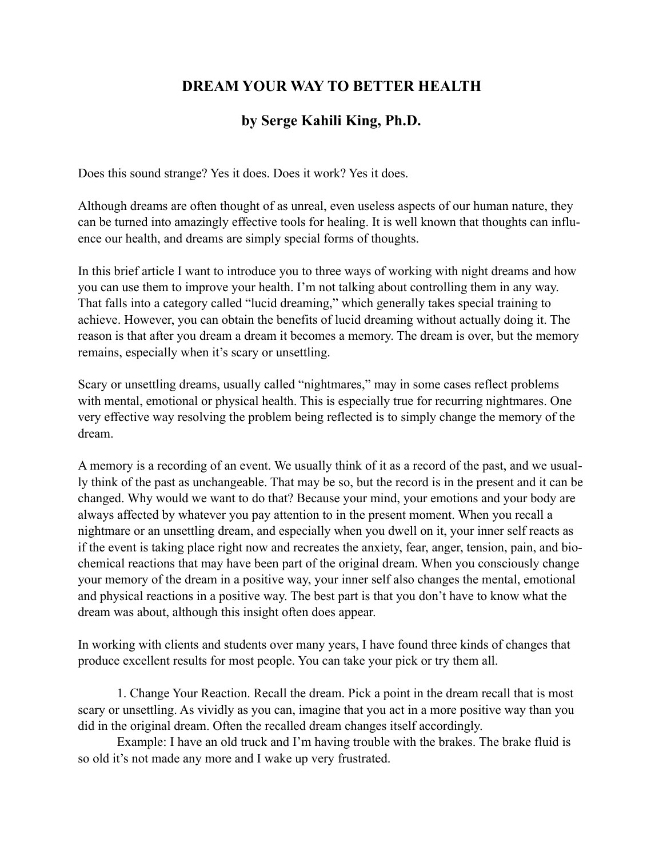## **DREAM YOUR WAY TO BETTER HEALTH**

## **by Serge Kahili King, Ph.D.**

Does this sound strange? Yes it does. Does it work? Yes it does.

Although dreams are often thought of as unreal, even useless aspects of our human nature, they can be turned into amazingly effective tools for healing. It is well known that thoughts can influence our health, and dreams are simply special forms of thoughts.

In this brief article I want to introduce you to three ways of working with night dreams and how you can use them to improve your health. I'm not talking about controlling them in any way. That falls into a category called "lucid dreaming," which generally takes special training to achieve. However, you can obtain the benefits of lucid dreaming without actually doing it. The reason is that after you dream a dream it becomes a memory. The dream is over, but the memory remains, especially when it's scary or unsettling.

Scary or unsettling dreams, usually called "nightmares," may in some cases reflect problems with mental, emotional or physical health. This is especially true for recurring nightmares. One very effective way resolving the problem being reflected is to simply change the memory of the dream.

A memory is a recording of an event. We usually think of it as a record of the past, and we usually think of the past as unchangeable. That may be so, but the record is in the present and it can be changed. Why would we want to do that? Because your mind, your emotions and your body are always affected by whatever you pay attention to in the present moment. When you recall a nightmare or an unsettling dream, and especially when you dwell on it, your inner self reacts as if the event is taking place right now and recreates the anxiety, fear, anger, tension, pain, and biochemical reactions that may have been part of the original dream. When you consciously change your memory of the dream in a positive way, your inner self also changes the mental, emotional and physical reactions in a positive way. The best part is that you don't have to know what the dream was about, although this insight often does appear.

In working with clients and students over many years, I have found three kinds of changes that produce excellent results for most people. You can take your pick or try them all.

 1. Change Your Reaction. Recall the dream. Pick a point in the dream recall that is most scary or unsettling. As vividly as you can, imagine that you act in a more positive way than you did in the original dream. Often the recalled dream changes itself accordingly.

 Example: I have an old truck and I'm having trouble with the brakes. The brake fluid is so old it's not made any more and I wake up very frustrated.